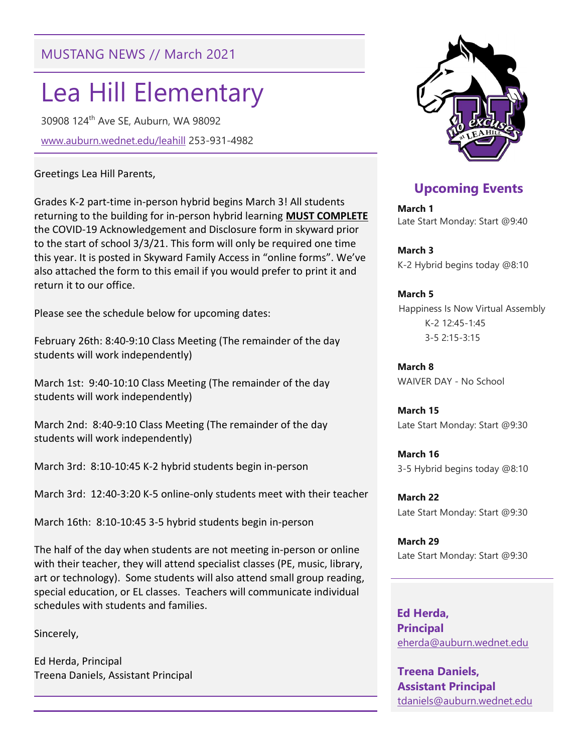# MUSTANG NEWS // March 2021

# Lea Hill Elementary

30908 124th Ave SE, Auburn, WA 98092 www.auburn.wednet.edu/leahill 253-931-4982

#### Greetings Lea Hill Parents,

Grades K-2 part-time in-person hybrid begins March 3! All students returning to the building for in-person hybrid learning MUST COMPLETE the COVID-19 Acknowledgement and Disclosure form in skyward prior to the start of school 3/3/21. This form will only be required one time this year. It is posted in Skyward Family Access in "online forms". We've also attached the form to this email if you would prefer to print it and return it to our office.

Please see the schedule below for upcoming dates:

February 26th: 8:40-9:10 Class Meeting (The remainder of the day students will work independently)

March 1st: 9:40-10:10 Class Meeting (The remainder of the day students will work independently)

March 2nd: 8:40-9:10 Class Meeting (The remainder of the day students will work independently)

March 3rd: 8:10-10:45 K-2 hybrid students begin in-person

March 3rd: 12:40-3:20 K-5 online-only students meet with their teacher

March 16th: 8:10-10:45 3-5 hybrid students begin in-person

The half of the day when students are not meeting in-person or online with their teacher, they will attend specialist classes (PE, music, library, art or technology). Some students will also attend small group reading, special education, or EL classes. Teachers will communicate individual schedules with students and families.

Sincerely,

Ed Herda, Principal Treena Daniels, Assistant Principal



## Upcoming Events

March 1 Late Start Monday: Start @9:40

March 3 K-2 Hybrid begins today @8:10

#### March 5

 Happiness Is Now Virtual Assembly K-2 12:45-1:45 3-5 2:15-3:15

March 8 WAIVER DAY - No School

March 15 Late Start Monday: Start @9:30

March 16 3-5 Hybrid begins today @8:10

March 22 Late Start Monday: Start @9:30

March 29 Late Start Monday: Start @9:30

 Ed Herda, **Principal** eherda@auburn.wednet.edu

Treena Daniels, Assistant Principal tdaniels@auburn.wednet.edu